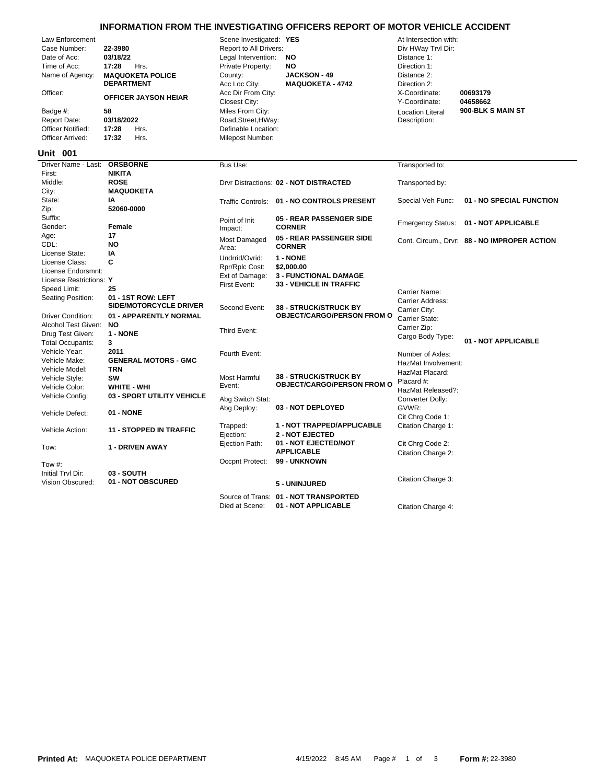## **INFORMATION FROM THE INVESTIGATING OFFICERS REPORT OF MOTOR VEHICLE ACCIDENT**

| Law Enforcement<br>Case Number:<br>Date of Acc:<br>Time of Acc:<br>Name of Agency:<br>Officer:<br>Badge #: |                                               | 22-3980<br>03/18/22<br>17:28<br>Hrs.<br><b>MAQUOKETA POLICE</b><br><b>DEPARTMENT</b><br><b>OFFICER JAYSON HEIAR</b><br>58 |                                | Scene Investigated: YES<br>Report to All Drivers:<br>Legal Intervention:<br>Private Property:<br>County:<br>Acc Loc City:<br>Acc Dir From City:<br>Closest City:<br>Miles From City: | <b>NO</b><br><b>NO</b> | <b>JACKSON - 49</b><br><b>MAQUOKETA - 4742</b>       | At Intersection with:<br>Div HWay Trvl Dir:<br>Distance 1:<br>Direction 1:<br>Distance 2:<br>Direction 2:<br>X-Coordinate:<br>Y-Coordinate:<br><b>Location Literal</b> | 00693179<br>04658662<br>900-BLK S MAIN ST    |
|------------------------------------------------------------------------------------------------------------|-----------------------------------------------|---------------------------------------------------------------------------------------------------------------------------|--------------------------------|--------------------------------------------------------------------------------------------------------------------------------------------------------------------------------------|------------------------|------------------------------------------------------|------------------------------------------------------------------------------------------------------------------------------------------------------------------------|----------------------------------------------|
|                                                                                                            | <b>Report Date:</b>                           | 03/18/2022                                                                                                                |                                | Road, Street, HWay:                                                                                                                                                                  |                        |                                                      | Description:                                                                                                                                                           |                                              |
|                                                                                                            | <b>Officer Notified:</b>                      | 17:28                                                                                                                     | Hrs.                           | Definable Location:<br>Milepost Number:                                                                                                                                              |                        |                                                      |                                                                                                                                                                        |                                              |
|                                                                                                            | Officer Arrived:                              | 17:32                                                                                                                     | Hrs.                           |                                                                                                                                                                                      |                        |                                                      |                                                                                                                                                                        |                                              |
|                                                                                                            | <b>Unit 001</b>                               |                                                                                                                           |                                |                                                                                                                                                                                      |                        |                                                      |                                                                                                                                                                        |                                              |
|                                                                                                            | Driver Name - Last:<br>First:                 | <b>ORSBORNE</b><br><b>NIKITA</b>                                                                                          |                                | Bus Use:                                                                                                                                                                             |                        |                                                      | Transported to:                                                                                                                                                        |                                              |
|                                                                                                            | Middle:<br>City:                              | <b>ROSE</b><br><b>MAQUOKETA</b>                                                                                           |                                |                                                                                                                                                                                      |                        | Drvr Distractions: 02 - NOT DISTRACTED               | Transported by:                                                                                                                                                        |                                              |
|                                                                                                            | State:                                        | IA                                                                                                                        |                                |                                                                                                                                                                                      |                        | Traffic Controls: 01 - NO CONTROLS PRESENT           | Special Veh Func:                                                                                                                                                      | 01 - NO SPECIAL FUNCTION                     |
|                                                                                                            | Zip:                                          | 52060-0000                                                                                                                |                                |                                                                                                                                                                                      |                        |                                                      |                                                                                                                                                                        |                                              |
|                                                                                                            | Suffix:                                       |                                                                                                                           |                                | Point of Init                                                                                                                                                                        |                        | 05 - REAR PASSENGER SIDE                             | <b>Emergency Status:</b>                                                                                                                                               | 01 - NOT APPLICABLE                          |
|                                                                                                            | Gender:                                       | Female                                                                                                                    |                                | Impact:                                                                                                                                                                              | <b>CORNER</b>          |                                                      |                                                                                                                                                                        |                                              |
|                                                                                                            | Age:                                          | 17                                                                                                                        |                                | Most Damaged                                                                                                                                                                         |                        | 05 - REAR PASSENGER SIDE                             |                                                                                                                                                                        | Cont. Circum., Drvr: 88 - NO IMPROPER ACTION |
|                                                                                                            | CDL:                                          | <b>NO</b>                                                                                                                 |                                | Area:                                                                                                                                                                                | <b>CORNER</b>          |                                                      |                                                                                                                                                                        |                                              |
|                                                                                                            | License State:                                | IA                                                                                                                        |                                | Undrrid/Ovrid:                                                                                                                                                                       | 1 - NONE               |                                                      |                                                                                                                                                                        |                                              |
|                                                                                                            | License Class:                                | C                                                                                                                         |                                | Rpr/Rplc Cost:                                                                                                                                                                       |                        | \$2,000.00                                           |                                                                                                                                                                        |                                              |
|                                                                                                            | License Endorsmnt:<br>License Restrictions: Y |                                                                                                                           |                                | Ext of Damage:                                                                                                                                                                       |                        | <b>3 - FUNCTIONAL DAMAGE</b>                         |                                                                                                                                                                        |                                              |
|                                                                                                            |                                               | 25                                                                                                                        |                                | First Event:                                                                                                                                                                         |                        | <b>33 - VEHICLE IN TRAFFIC</b>                       |                                                                                                                                                                        |                                              |
| Speed Limit:<br>Seating Position:                                                                          |                                               | 01 - 1ST ROW: LEFT<br><b>SIDE/MOTORCYCLE DRIVER</b>                                                                       |                                | Second Event:                                                                                                                                                                        |                        | <b>38 - STRUCK/STRUCK BY</b>                         | Carrier Name:<br>Carrier Address:<br>Carrier City:                                                                                                                     |                                              |
|                                                                                                            | <b>Driver Condition:</b>                      |                                                                                                                           | 01 - APPARENTLY NORMAL         |                                                                                                                                                                                      |                        | <b>OBJECT/CARGO/PERSON FROM O</b>                    | Carrier State:                                                                                                                                                         |                                              |
|                                                                                                            | Alcohol Test Given:                           | <b>NO</b>                                                                                                                 |                                |                                                                                                                                                                                      |                        |                                                      | Carrier Zip:                                                                                                                                                           |                                              |
|                                                                                                            | Drug Test Given:                              | 1 - NONE                                                                                                                  |                                | Third Event:                                                                                                                                                                         |                        |                                                      | Cargo Body Type:                                                                                                                                                       |                                              |
|                                                                                                            | <b>Total Occupants:</b>                       | 3                                                                                                                         |                                |                                                                                                                                                                                      |                        |                                                      |                                                                                                                                                                        | 01 - NOT APPLICABLE                          |
|                                                                                                            | Vehicle Year:                                 | 2011                                                                                                                      |                                | Fourth Event:                                                                                                                                                                        |                        |                                                      | Number of Axles:                                                                                                                                                       |                                              |
|                                                                                                            | Vehicle Make:                                 |                                                                                                                           | <b>GENERAL MOTORS - GMC</b>    |                                                                                                                                                                                      |                        |                                                      | HazMat Involvement:                                                                                                                                                    |                                              |
|                                                                                                            | Vehicle Model:                                | <b>TRN</b>                                                                                                                |                                |                                                                                                                                                                                      |                        | <b>38 - STRUCK/STRUCK BY</b>                         | HazMat Placard:                                                                                                                                                        |                                              |
|                                                                                                            | Vehicle Style:                                | <b>SW</b><br>WHITE - WHI                                                                                                  |                                | Most Harmful<br>Event:                                                                                                                                                               |                        | <b>OBJECT/CARGO/PERSON FROM O</b>                    | Placard #:                                                                                                                                                             |                                              |
|                                                                                                            | Vehicle Color:<br>Vehicle Config:             |                                                                                                                           | 03 - SPORT UTILITY VEHICLE     |                                                                                                                                                                                      |                        |                                                      | HazMat Released?:                                                                                                                                                      |                                              |
|                                                                                                            |                                               |                                                                                                                           |                                | Abg Switch Stat:                                                                                                                                                                     |                        |                                                      | Converter Dolly:                                                                                                                                                       |                                              |
|                                                                                                            | Vehicle Defect:                               | 01 - NONE                                                                                                                 |                                | Abg Deploy:                                                                                                                                                                          |                        | 03 - NOT DEPLOYED                                    | GVWR:<br>Cit Chrq Code 1:                                                                                                                                              |                                              |
|                                                                                                            | Vehicle Action:                               |                                                                                                                           | <b>11 - STOPPED IN TRAFFIC</b> | Trapped:<br>Ejection:                                                                                                                                                                |                        | 1 - NOT TRAPPED/APPLICABLE<br><b>2 - NOT EJECTED</b> | Citation Charge 1:                                                                                                                                                     |                                              |
|                                                                                                            | Tow:                                          |                                                                                                                           | 1 - DRIVEN AWAY                | Ejection Path:                                                                                                                                                                       |                        | 01 - NOT EJECTED/NOT<br><b>APPLICABLE</b>            | Cit Chrg Code 2:<br>Citation Charge 2:                                                                                                                                 |                                              |
|                                                                                                            | Tow #:                                        |                                                                                                                           |                                | Occpnt Protect:                                                                                                                                                                      |                        | 99 - UNKNOWN                                         |                                                                                                                                                                        |                                              |
|                                                                                                            | Initial Trvl Dir:                             | 03 - SOUTH                                                                                                                |                                |                                                                                                                                                                                      |                        |                                                      |                                                                                                                                                                        |                                              |
|                                                                                                            | Vision Obscured:                              |                                                                                                                           | 01 - NOT OBSCURED              |                                                                                                                                                                                      |                        | 5 - UNINJURED                                        | Citation Charge 3:                                                                                                                                                     |                                              |
|                                                                                                            |                                               |                                                                                                                           |                                |                                                                                                                                                                                      |                        | Source of Trans: 01 - NOT TRANSPORTED                |                                                                                                                                                                        |                                              |

Died at Scene: **01 - NOT APPLICABLE** Citation Charge 4: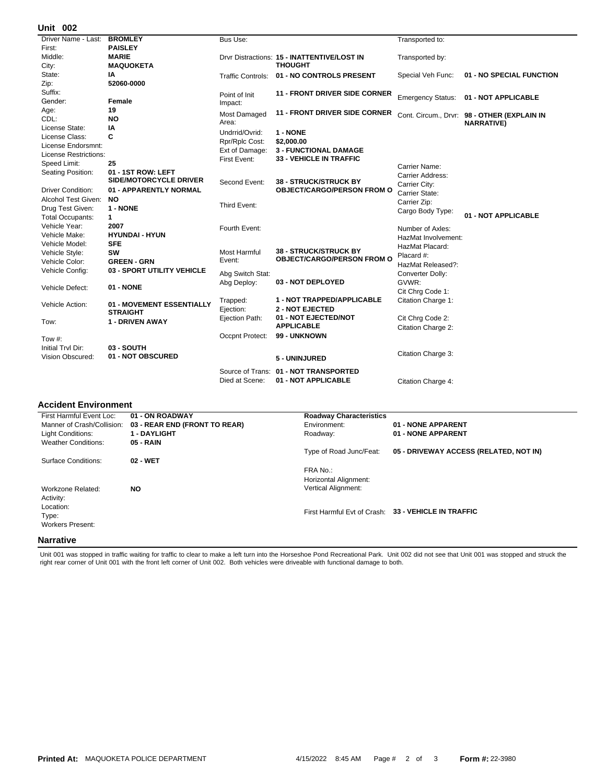## **002 Unit**

| Driver Name - Last:     | <b>BROMLEY</b>                  | Bus Use:            |                                             | Transported to:     |                                             |
|-------------------------|---------------------------------|---------------------|---------------------------------------------|---------------------|---------------------------------------------|
| First:                  | <b>PAISLEY</b>                  |                     |                                             |                     |                                             |
| Middle:                 | <b>MARIE</b>                    |                     | Drvr Distractions: 15 - INATTENTIVE/LOST IN | Transported by:     |                                             |
| City:                   | <b>MAQUOKETA</b>                |                     | <b>THOUGHT</b>                              |                     |                                             |
| State:                  | ΙA                              |                     | Traffic Controls: 01 - NO CONTROLS PRESENT  | Special Veh Func:   | 01 - NO SPECIAL FUNCTION                    |
| Zip:                    | 52060-0000                      |                     |                                             |                     |                                             |
| Suffix:                 |                                 | Point of Init       | <b>11 - FRONT DRIVER SIDE CORNER</b>        |                     | Emergency Status: 01 - NOT APPLICABLE       |
| Gender:                 | Female                          | Impact:             |                                             |                     |                                             |
| Age:                    | 19                              | Most Damaged        | <b>11 - FRONT DRIVER SIDE CORNER</b>        |                     | Cont. Circum., Drvr: 98 - OTHER (EXPLAIN IN |
| CDL:                    | <b>NO</b>                       | Area:               |                                             |                     | <b>NARRATIVE)</b>                           |
| License State:          | ΙA                              | Undrrid/Ovrid:      | 1 - NONE                                    |                     |                                             |
| License Class:          | C                               | Rpr/Rplc Cost:      | \$2,000.00                                  |                     |                                             |
| License Endorsmnt:      |                                 | Ext of Damage:      | <b>3 - FUNCTIONAL DAMAGE</b>                |                     |                                             |
| License Restrictions:   |                                 | First Event:        | 33 - VEHICLE IN TRAFFIC                     |                     |                                             |
| Speed Limit:            | 25                              |                     |                                             | Carrier Name:       |                                             |
| Seating Position:       | 01 - 1ST ROW: LEFT              |                     |                                             | Carrier Address:    |                                             |
|                         | SIDE/MOTORCYCLE DRIVER          | Second Event:       | <b>38 - STRUCK/STRUCK BY</b>                | Carrier City:       |                                             |
| Driver Condition:       | 01 - APPARENTLY NORMAL          |                     | <b>OBJECT/CARGO/PERSON FROM O</b>           | Carrier State:      |                                             |
| Alcohol Test Given:     | <b>NO</b>                       |                     |                                             | Carrier Zip:        |                                             |
| Drug Test Given:        | 1 - NONE                        | Third Event:        |                                             | Cargo Body Type:    |                                             |
| <b>Total Occupants:</b> | $\mathbf 1$                     |                     |                                             |                     | 01 - NOT APPLICABLE                         |
| Vehicle Year:           | 2007                            | Fourth Event:       |                                             | Number of Axles:    |                                             |
| Vehicle Make:           | <b>HYUNDAI - HYUN</b>           |                     |                                             | HazMat Involvement: |                                             |
| Vehicle Model:          | <b>SFE</b>                      |                     |                                             | HazMat Placard:     |                                             |
| Vehicle Style:          | SW                              | <b>Most Harmful</b> | <b>38 - STRUCK/STRUCK BY</b>                | Placard #:          |                                             |
| Vehicle Color:          | <b>GREEN - GRN</b>              | Event:              | <b>OBJECT/CARGO/PERSON FROM O</b>           | HazMat Released?:   |                                             |
| Vehicle Config:         | 03 - SPORT UTILITY VEHICLE      | Abg Switch Stat:    |                                             | Converter Dolly:    |                                             |
|                         |                                 | Abg Deploy:         | 03 - NOT DEPLOYED                           | GVWR:               |                                             |
| Vehicle Defect:         | 01 - NONE                       |                     |                                             | Cit Chrg Code 1:    |                                             |
|                         |                                 | Trapped:            | 1 - NOT TRAPPED/APPLICABLE                  | Citation Charge 1:  |                                             |
| Vehicle Action:         | 01 - MOVEMENT ESSENTIALLY       | Ejection:           | <b>2 - NOT EJECTED</b>                      |                     |                                             |
|                         | <b>STRAIGHT</b>                 | Ejection Path:      | 01 - NOT EJECTED/NOT                        | Cit Chrg Code 2:    |                                             |
| Tow:                    | 1 - DRIVEN AWAY                 |                     | <b>APPLICABLE</b>                           | Citation Charge 2:  |                                             |
|                         |                                 | Occpnt Protect:     | 99 - UNKNOWN                                |                     |                                             |
| Tow #:                  |                                 |                     |                                             |                     |                                             |
| Initial Trvl Dir:       | 03 - SOUTH<br>01 - NOT OBSCURED |                     |                                             | Citation Charge 3:  |                                             |
| <b>Vision Obscured:</b> |                                 |                     | 5 - UNINJURED                               |                     |                                             |
|                         |                                 |                     | Source of Trans: 01 - NOT TRANSPORTED       |                     |                                             |
|                         |                                 | Died at Scene:      | 01 - NOT APPLICABLE                         | Citation Charge 4:  |                                             |
|                         |                                 |                     |                                             |                     |                                             |

## **Accident Environment**

| First Harmful Event Loc:                                   | 01 - ON ROADWAY               | <b>Roadway Characteristics</b>                                  |                                                     |
|------------------------------------------------------------|-------------------------------|-----------------------------------------------------------------|-----------------------------------------------------|
| Manner of Crash/Collision:                                 | 03 - REAR END (FRONT TO REAR) | Environment:                                                    | 01 - NONE APPARENT                                  |
| Light Conditions:                                          | 1 - DAYLIGHT                  | Roadway:                                                        | 01 - NONE APPARENT                                  |
| <b>Weather Conditions:</b>                                 | 05 - RAIN                     |                                                                 |                                                     |
|                                                            |                               | Type of Road Junc/Feat:                                         | 05 - DRIVEWAY ACCESS (RELATED, NOT IN)              |
| Surface Conditions:                                        | 02 - WET                      |                                                                 |                                                     |
| Workzone Related:                                          | <b>NO</b>                     | FRA No.:<br>Horizontal Alignment:<br><b>Vertical Alignment:</b> |                                                     |
| Activity:<br>Location:<br>Type:<br><b>Workers Present:</b> |                               |                                                                 | First Harmful Evt of Crash: 33 - VEHICLE IN TRAFFIC |
| <b>Narrative</b>                                           |                               |                                                                 |                                                     |

Unit 001 was stopped in traffic waiting for traffic to clear to make a left turn into the Horseshoe Pond Recreational Park. Unit 002 did not see that Unit 001 was stopped and struck the<br>right rear corner of Unit 001 with t